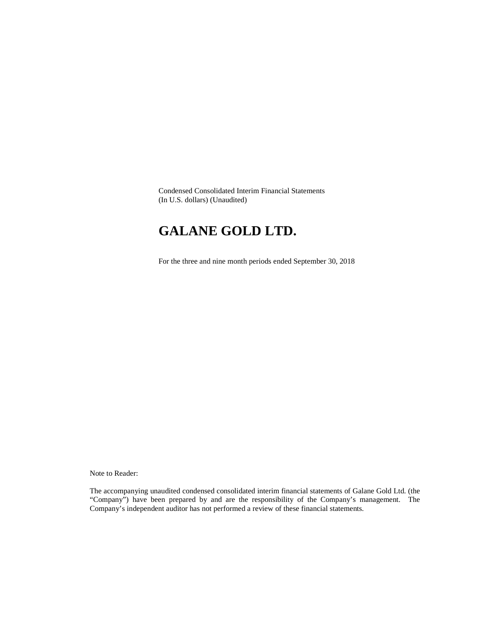Condensed Consolidated Interim Financial Statements (In U.S. dollars) (Unaudited)

# **GALANE GOLD LTD.**

For the three and nine month periods ended September 30, 2018

Note to Reader:

The accompanying unaudited condensed consolidated interim financial statements of Galane Gold Ltd. (the "Company") have been prepared by and are the responsibility of the Company's management. The Company's independent auditor has not performed a review of these financial statements.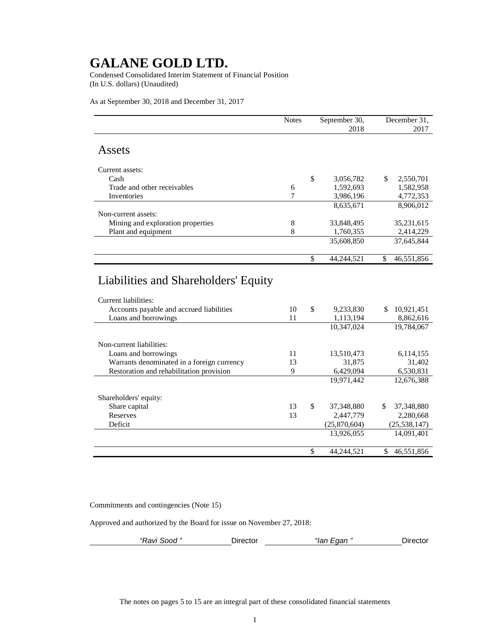Condensed Consolidated Interim Statement of Financial Position (In U.S. dollars) (Unaudited)

As at September 30, 2018 and December 31, 2017

|                                                              | <b>Notes</b> | September 30,    | December 31.                |
|--------------------------------------------------------------|--------------|------------------|-----------------------------|
|                                                              |              | 2018             | 2017                        |
| Assets                                                       |              |                  |                             |
| Current assets:                                              |              |                  |                             |
| Cash                                                         |              | \$<br>3,056,782  | \$.<br>2,550,701            |
| Trade and other receivables                                  | 6            | 1,592,693        | 1,582,958                   |
| Inventories                                                  | 7            | 3,986,196        | 4,772,353                   |
| Non-current assets:                                          |              | 8,635,671        | 8,906,012                   |
| Mining and exploration properties                            | 8            | 33,848,495       | 35,231,615                  |
| Plant and equipment                                          | 8            | 1,760,355        | 2,414,229                   |
|                                                              |              | 35,608,850       | 37,645,844                  |
|                                                              |              |                  |                             |
|                                                              |              | \$<br>44,244,521 | \$<br>46,551,856            |
| Liabilities and Shareholders' Equity<br>Current liabilities: |              |                  |                             |
| Accounts payable and accrued liabilities                     | 10           | \$<br>9,233,830  | 10,921,451<br>\$.           |
| Loans and borrowings                                         | 11           | 1,113,194        | 8,862,616                   |
|                                                              |              | 10,347,024       | $\overline{19,}784,067$     |
| Non-current liabilities:                                     |              |                  |                             |
| Loans and borrowings                                         | 11           | 13,510,473       | 6,114,155                   |
| Warrants denominated in a foreign currency                   | 13           | 31,875           | 31,402                      |
| Restoration and rehabilitation provision                     | 9            | 6,429,094        | 6,530,831                   |
|                                                              |              | 19,971,442       | 12,676,388                  |
| Shareholders' equity:                                        |              |                  |                             |
| Share capital                                                | 13           | \$<br>37,348,880 | \$<br>37,348,880            |
| Reserves                                                     | 13           | 2,447,779        | 2,280,668                   |
| Deficit                                                      |              | (25,870,604)     | (25, 538, 147)              |
|                                                              |              | 13,926,055       | 14,091,401                  |
|                                                              |              | \$<br>44,244,521 | $\mathcal{S}$<br>46,551,856 |

Commitments and contingencies (Note 15)

Approved and authorized by the Board for issue on November 27, 2018:

| "Ravi Sood " | Director | "lan Egan " | Director |
|--------------|----------|-------------|----------|
|--------------|----------|-------------|----------|

The notes on pages 5 to 15 are an integral part of these consolidated financial statements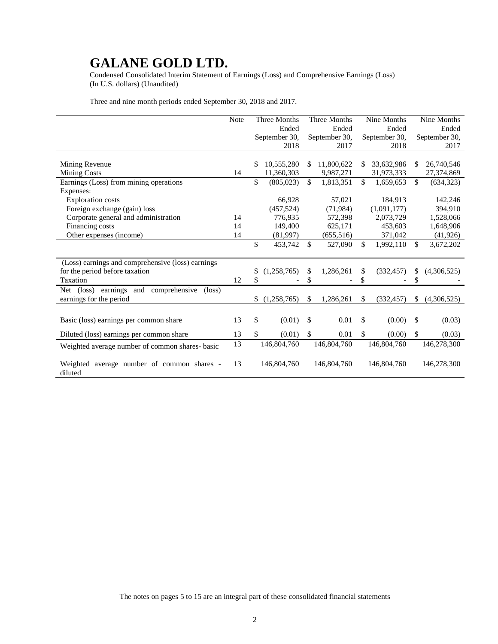Condensed Consolidated Interim Statement of Earnings (Loss) and Comprehensive Earnings (Loss) (In U.S. dollars) (Unaudited)

Three and nine month periods ended September 30, 2018 and 2017.

|                                                                               | Note | <b>Three Months</b> | Three Months     | Nine Months      |              | Nine Months   |
|-------------------------------------------------------------------------------|------|---------------------|------------------|------------------|--------------|---------------|
|                                                                               |      | Ended               | Ended            | Ended            |              | Ended         |
|                                                                               |      | September 30,       | September 30,    | September 30,    |              | September 30. |
|                                                                               |      | 2018                | 2017             | 2018             |              | 2017          |
|                                                                               |      |                     |                  |                  |              |               |
| Mining Revenue                                                                |      | \$<br>10,555,280    | \$<br>11,800,622 | \$<br>33,632,986 | \$           | 26,740,546    |
| <b>Mining Costs</b>                                                           | 14   | 11,360,303          | 9,987,271        | 31,973,333       |              | 27,374,869    |
| Earnings (Loss) from mining operations                                        |      | \$<br>(805, 023)    | \$<br>1,813,351  | \$<br>1,659,653  | \$           | (634, 323)    |
| Expenses:                                                                     |      |                     |                  |                  |              |               |
| <b>Exploration costs</b>                                                      |      | 66,928              | 57,021           | 184,913          |              | 142,246       |
| Foreign exchange (gain) loss                                                  |      | (457, 524)          | (71, 984)        | (1,091,177)      |              | 394,910       |
| Corporate general and administration                                          | 14   | 776,935             | 572,398          | 2,073,729        |              | 1,528,066     |
| Financing costs                                                               | 14   | 149,400             | 625,171          | 453,603          |              | 1,648,906     |
| Other expenses (income)                                                       | 14   | (81,997)            | (655, 516)       | 371,042          |              | (41, 926)     |
|                                                                               |      | \$<br>453,742       | \$<br>527,090    | \$<br>1,992,110  | $\mathbb{S}$ | 3,672,202     |
|                                                                               |      |                     |                  |                  |              |               |
| (Loss) earnings and comprehensive (loss) earnings                             |      |                     |                  |                  |              |               |
| for the period before taxation                                                |      | \$<br>(1,258,765)   | \$<br>1,286,261  | \$<br>(332, 457) | \$           | (4,306,525)   |
| Taxation                                                                      | 12   | \$                  | \$               | \$               | \$           |               |
| earnings<br>comprehensive<br>$(\text{loss})$<br>and<br>$(\text{loss})$<br>Net |      |                     |                  |                  |              |               |
| earnings for the period                                                       |      | \$<br>(1,258,765)   | \$<br>1,286,261  | \$<br>(332, 457) | S.           | (4,306,525)   |
|                                                                               |      |                     |                  |                  |              |               |
| Basic (loss) earnings per common share                                        | 13   | \$<br>(0.01)        | \$<br>0.01       | \$<br>(0.00)     | \$           | (0.03)        |
| Diluted (loss) earnings per common share                                      | 13   | \$<br>(0.01)        | \$<br>0.01       | \$<br>(0.00)     | \$           | (0.03)        |
| Weighted average number of common shares- basic                               | 13   | 146,804,760         | 146,804,760      | 146,804,760      |              | 146,278,300   |
|                                                                               |      |                     |                  |                  |              |               |
| Weighted average number of common shares -                                    | 13   | 146,804,760         | 146,804,760      | 146,804,760      |              | 146,278,300   |
| diluted                                                                       |      |                     |                  |                  |              |               |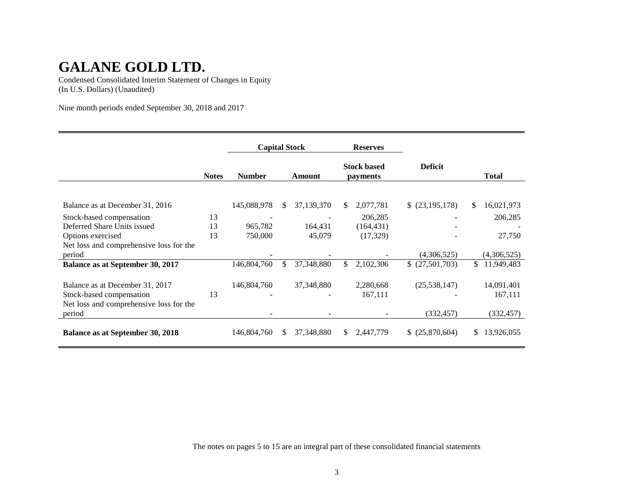Condensed Consolidated Interim Statement of Changes in Equity (In U.S. Dollars) (Unaudited)

Nine month periods ended September 30, 2018 and 2017

|                                                             |              | <b>Capital Stock</b> |     |              | <b>Reserves</b> |                                |                 |    |                       |
|-------------------------------------------------------------|--------------|----------------------|-----|--------------|-----------------|--------------------------------|-----------------|----|-----------------------|
|                                                             | <b>Notes</b> | <b>Number</b>        |     | Amount       |                 | <b>Stock based</b><br>payments | <b>Deficit</b>  |    | <b>Total</b>          |
| Balance as at December 31, 2016                             |              | 145,088,978          | \$. | 37,139,370   | S.              | 2,077,781                      | \$ (23,195,178) | \$ | 16,021,973            |
| Stock-based compensation                                    | 13           |                      |     |              |                 | 206,285                        |                 |    | 206,285               |
| Deferred Share Units issued                                 | 13           | 965,782              |     | 164,431      |                 | (164, 431)                     |                 |    |                       |
| Options exercised                                           | 13           | 750,000              |     | 45,079       |                 | (17,329)                       |                 |    | 27,750                |
| Net loss and comprehensive loss for the<br>period           |              |                      |     |              |                 |                                | (4,306,525)     |    | (4,306,525)           |
| Balance as at September 30, 2017                            |              | 146,804,760          | \$. | 37,348,880   | \$              | 2,102,306                      | \$(27,501,703)  | \$ | 11,949,483            |
|                                                             |              |                      |     |              |                 |                                |                 |    |                       |
| Balance as at December 31, 2017<br>Stock-based compensation | 13           | 146,804,760          |     | 37, 348, 880 |                 | 2,280,668<br>167,111           | (25, 538, 147)  |    | 14,091,401<br>167,111 |
| Net loss and comprehensive loss for the                     |              |                      |     |              |                 |                                |                 |    |                       |
| period                                                      |              |                      |     |              |                 |                                | (332, 457)      |    | (332, 457)            |
| <b>Balance as at September 30, 2018</b>                     |              | 146,804,760          | \$. | 37,348,880   | S.              | 2,447,779                      | \$ (25,870,604) | S. | 13,926,055            |

The notes on pages 5 to 15 are an integral part of these consolidated financial statements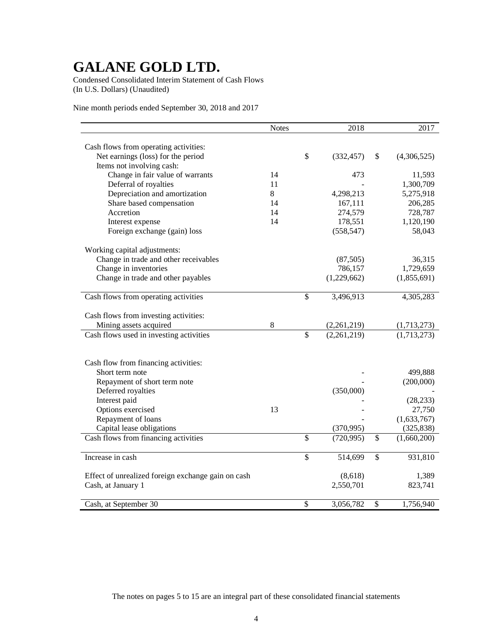Condensed Consolidated Interim Statement of Cash Flows (In U.S. Dollars) (Unaudited)

Nine month periods ended September 30, 2018 and 2017

|                                                    | <b>Notes</b> |                          | 2018        |                          | 2017        |
|----------------------------------------------------|--------------|--------------------------|-------------|--------------------------|-------------|
|                                                    |              |                          |             |                          |             |
| Cash flows from operating activities:              |              |                          |             |                          |             |
| Net earnings (loss) for the period                 |              | \$                       | (332, 457)  | \$                       | (4,306,525) |
| Items not involving cash:                          |              |                          |             |                          |             |
| Change in fair value of warrants                   | 14           |                          | 473         |                          | 11,593      |
| Deferral of royalties                              | 11           |                          |             |                          | 1,300,709   |
| Depreciation and amortization                      | 8            |                          | 4,298,213   |                          | 5,275,918   |
| Share based compensation                           | 14           |                          | 167,111     |                          | 206,285     |
| Accretion                                          | 14           |                          | 274,579     |                          | 728,787     |
| Interest expense                                   | 14           |                          | 178,551     |                          | 1,120,190   |
| Foreign exchange (gain) loss                       |              |                          | (558, 547)  |                          | 58,043      |
| Working capital adjustments:                       |              |                          |             |                          |             |
| Change in trade and other receivables              |              |                          | (87, 505)   |                          | 36,315      |
| Change in inventories                              |              |                          | 786,157     |                          | 1,729,659   |
| Change in trade and other payables                 |              |                          | (1,229,662) |                          | (1,855,691) |
|                                                    |              |                          |             |                          |             |
| Cash flows from operating activities               |              | $\mathbb{S}$             | 3,496,913   |                          | 4,305,283   |
|                                                    |              |                          |             |                          |             |
| Cash flows from investing activities:              |              |                          |             |                          |             |
| Mining assets acquired                             | 8            | $\overline{\mathcal{S}}$ | (2,261,219) |                          | (1,713,273) |
| Cash flows used in investing activities            |              |                          | (2,261,219) |                          | (1,713,273) |
|                                                    |              |                          |             |                          |             |
| Cash flow from financing activities:               |              |                          |             |                          |             |
| Short term note                                    |              |                          |             |                          | 499,888     |
| Repayment of short term note                       |              |                          |             |                          | (200,000)   |
| Deferred royalties                                 |              |                          | (350,000)   |                          |             |
| Interest paid                                      |              |                          |             |                          | (28, 233)   |
| Options exercised                                  | 13           |                          |             |                          | 27,750      |
| Repayment of loans                                 |              |                          |             |                          | (1,633,767) |
| Capital lease obligations                          |              |                          | (370,995)   |                          | (325, 838)  |
| Cash flows from financing activities               |              | \$                       | (720, 995)  | \$                       | (1,660,200) |
| Increase in cash                                   |              | \$                       | 514,699     | $\overline{\mathcal{S}}$ | 931,810     |
|                                                    |              |                          |             |                          |             |
| Effect of unrealized foreign exchange gain on cash |              |                          | (8,618)     |                          | 1,389       |
| Cash, at January 1                                 |              |                          | 2,550,701   |                          | 823,741     |
| Cash, at September 30                              |              | \$                       | 3,056,782   | \$                       | 1,756,940   |

The notes on pages 5 to 15 are an integral part of these consolidated financial statements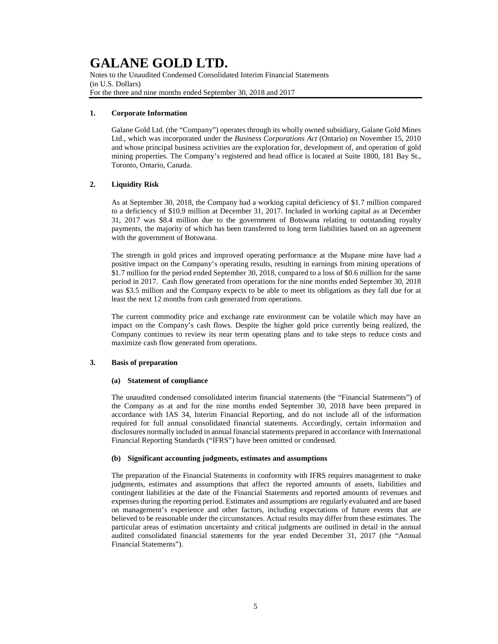Notes to the Unaudited Condensed Consolidated Interim Financial Statements (in U.S. Dollars) For the three and nine months ended September 30, 2018 and 2017

## **1. Corporate Information**

Galane Gold Ltd. (the "Company") operates through its wholly owned subsidiary, Galane Gold Mines Ltd., which was incorporated under the *Business Corporations Act* (Ontario) on November 15, 2010 and whose principal business activities are the exploration for, development of, and operation of gold mining properties. The Company's registered and head office is located at Suite 1800, 181 Bay St., Toronto, Ontario, Canada.

## **2. Liquidity Risk**

As at September 30, 2018, the Company had a working capital deficiency of \$1.7 million compared to a deficiency of \$10.9 million at December 31, 2017. Included in working capital as at December 31, 2017 was \$8.4 million due to the government of Botswana relating to outstanding royalty payments, the majority of which has been transferred to long term liabilities based on an agreement with the government of Botswana.

The strength in gold prices and improved operating performance at the Mupane mine have had a positive impact on the Company's operating results, resulting in earnings from mining operations of \$1.7 million for the period ended September 30, 2018, compared to a loss of \$0.6 million for the same period in 2017. Cash flow generated from operations for the nine months ended September 30, 2018 was \$3.5 million and the Company expects to be able to meet its obligations as they fall due for at least the next 12 months from cash generated from operations.

The current commodity price and exchange rate environment can be volatile which may have an impact on the Company's cash flows. Despite the higher gold price currently being realized, the Company continues to review its near term operating plans and to take steps to reduce costs and maximize cash flow generated from operations.

## **3. Basis of preparation**

## **(a) Statement of compliance**

The unaudited condensed consolidated interim financial statements (the "Financial Statements") of the Company as at and for the nine months ended September 30, 2018 have been prepared in accordance with IAS 34, Interim Financial Reporting, and do not include all of the information required for full annual consolidated financial statements. Accordingly, certain information and disclosures normally included in annual financial statements prepared in accordance with International Financial Reporting Standards ("IFRS") have been omitted or condensed.

## **(b) Significant accounting judgments, estimates and assumptions**

The preparation of the Financial Statements in conformity with IFRS requires management to make judgments, estimates and assumptions that affect the reported amounts of assets, liabilities and contingent liabilities at the date of the Financial Statements and reported amounts of revenues and expenses during the reporting period. Estimates and assumptions are regularly evaluated and are based on management's experience and other factors, including expectations of future events that are believed to be reasonable under the circumstances. Actual results may differ from these estimates. The particular areas of estimation uncertainty and critical judgments are outlined in detail in the annual audited consolidated financial statements for the year ended December 31, 2017 (the "Annual Financial Statements").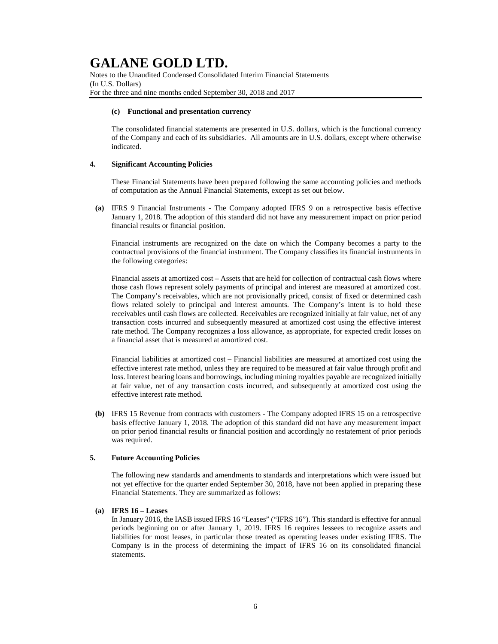Notes to the Unaudited Condensed Consolidated Interim Financial Statements (In U.S. Dollars) For the three and nine months ended September 30, 2018 and 2017

#### **(c) Functional and presentation currency**

The consolidated financial statements are presented in U.S. dollars, which is the functional currency of the Company and each of its subsidiaries. All amounts are in U.S. dollars, except where otherwise indicated.

### **4. Significant Accounting Policies**

These Financial Statements have been prepared following the same accounting policies and methods of computation as the Annual Financial Statements, except as set out below.

**(a)** IFRS 9 Financial Instruments - The Company adopted IFRS 9 on a retrospective basis effective January 1, 2018. The adoption of this standard did not have any measurement impact on prior period financial results or financial position.

Financial instruments are recognized on the date on which the Company becomes a party to the contractual provisions of the financial instrument. The Company classifies its financial instruments in the following categories:

Financial assets at amortized cost – Assets that are held for collection of contractual cash flows where those cash flows represent solely payments of principal and interest are measured at amortized cost. The Company's receivables, which are not provisionally priced, consist of fixed or determined cash flows related solely to principal and interest amounts. The Company's intent is to hold these receivables until cash flows are collected. Receivables are recognized initially at fair value, net of any transaction costs incurred and subsequently measured at amortized cost using the effective interest rate method. The Company recognizes a loss allowance, as appropriate, for expected credit losses on a financial asset that is measured at amortized cost.

Financial liabilities at amortized cost *–* Financial liabilities are measured at amortized cost using the effective interest rate method, unless they are required to be measured at fair value through profit and loss. Interest bearing loans and borrowings, including mining royalties payable are recognized initially at fair value, net of any transaction costs incurred, and subsequently at amortized cost using the effective interest rate method.

**(b)** IFRS 15 Revenue from contracts with customers - The Company adopted IFRS 15 on a retrospective basis effective January 1, 2018. The adoption of this standard did not have any measurement impact on prior period financial results or financial position and accordingly no restatement of prior periods was required.

#### **5. Future Accounting Policies**

The following new standards and amendments to standards and interpretations which were issued but not yet effective for the quarter ended September 30, 2018, have not been applied in preparing these Financial Statements. They are summarized as follows:

## **(a) IFRS 16 – Leases**

In January 2016, the IASB issued IFRS 16 "Leases" ("IFRS 16"). This standard is effective for annual periods beginning on or after January 1, 2019. IFRS 16 requires lessees to recognize assets and liabilities for most leases, in particular those treated as operating leases under existing IFRS. The Company is in the process of determining the impact of IFRS 16 on its consolidated financial statements.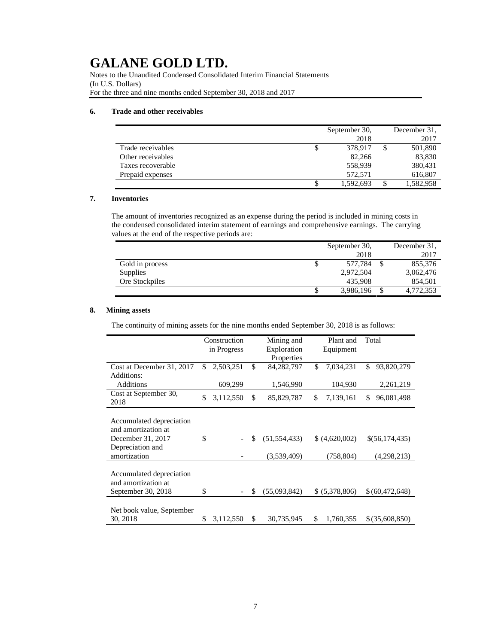Notes to the Unaudited Condensed Consolidated Interim Financial Statements (In U.S. Dollars) For the three and nine months ended September 30, 2018 and 2017

## **6. Trade and other receivables**

|                   | September 30, | December 31. |
|-------------------|---------------|--------------|
|                   | 2018          | 2017         |
| Trade receivables | \$<br>378.917 | 501,890      |
| Other receivables | 82,266        | 83,830       |
| Taxes recoverable | 558,939       | 380,431      |
| Prepaid expenses  | 572.571       | 616,807      |
|                   | 1,592,693     | 1,582,958    |

# **7. Inventories**

The amount of inventories recognized as an expense during the period is included in mining costs in the condensed consolidated interim statement of earnings and comprehensive earnings. The carrying values at the end of the respective periods are:

|                 | September 30,   | December 31. |
|-----------------|-----------------|--------------|
|                 | 2018            | 2017         |
| Gold in process | \$<br>577.784   | 855,376      |
| Supplies        | 2,972,504       | 3,062,476    |
| Ore Stockpiles  | 435.908         | 854,501      |
|                 | \$<br>3,986,196 | 4,772,353    |

# **8. Mining assets**

The continuity of mining assets for the nine months ended September 30, 2018 is as follows:

|                                                                                                          | Construction<br>in Progress | Mining and<br>Exploration           | Plant and<br>Equipment    | Total                         |
|----------------------------------------------------------------------------------------------------------|-----------------------------|-------------------------------------|---------------------------|-------------------------------|
| Cost at December 31, 2017<br>Additions:                                                                  | \$<br>2,503,251             | \$<br>Properties<br>84, 282, 797    | \$<br>7,034,231           | \$<br>93,820,279              |
| Additions                                                                                                | 609,299                     | 1,546,990                           | 104,930                   | 2,261,219                     |
| Cost at September 30,<br>2018                                                                            | \$<br>3,112,550             | \$<br>85,829,787                    | \$.<br>7,139,161          | \$<br>96,081,498              |
| Accumulated depreciation<br>and amortization at<br>December 31, 2017<br>Depreciation and<br>amortization | \$                          | \$<br>(51, 554, 433)<br>(3,539,409) | (4,620,002)<br>(758, 804) | \$(56,174,435)<br>(4,298,213) |
| Accumulated depreciation<br>and amortization at<br>September 30, 2018                                    | \$                          | \$<br>(55,093,842)                  | \$ (5,378,806)            | \$(60,472,648)                |
| Net book value, September<br>30, 2018                                                                    | \$<br>3,112,550             | \$<br>30.735.945                    | \$<br>1,760,355           | \$ (35,608,850)               |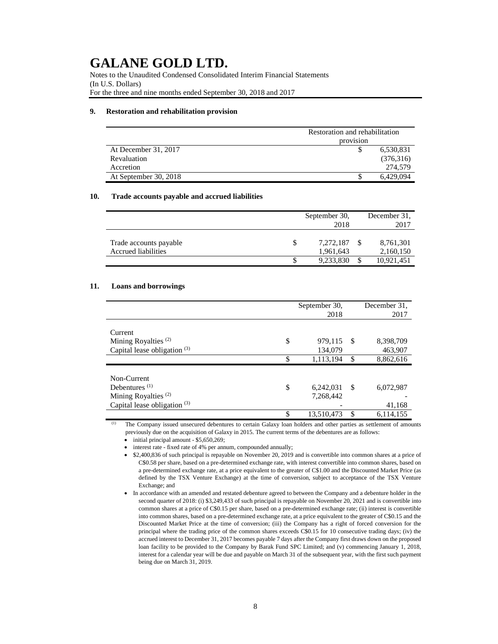Notes to the Unaudited Condensed Consolidated Interim Financial Statements (In U.S. Dollars) For the three and nine months ended September 30, 2018 and 2017

#### **9. Restoration and rehabilitation provision**

|                       | Restoration and rehabilitation |           |  |  |  |
|-----------------------|--------------------------------|-----------|--|--|--|
|                       | provision                      |           |  |  |  |
| At December 31, 2017  |                                | 6,530,831 |  |  |  |
| Revaluation           |                                | (376,316) |  |  |  |
| Accretion             |                                | 274,579   |  |  |  |
| At September 30, 2018 |                                | 6.429.094 |  |  |  |

#### **10. Trade accounts payable and accrued liabilities**

|                                               | September 30,<br>2018  | December 31.<br>2017   |
|-----------------------------------------------|------------------------|------------------------|
| Trade accounts payable<br>Accrued liabilities | 7,272,187<br>1,961,643 | 8,761,301<br>2,160,150 |
|                                               | 9,233,830              | 10,921,451             |

# **11. Loans and borrowings**

|                                 | September 30,<br>2018 |     | December 31.<br>2017 |
|---------------------------------|-----------------------|-----|----------------------|
|                                 |                       |     |                      |
| Current                         |                       |     |                      |
| Mining Royalties <sup>(2)</sup> | \$<br>979,115         | -\$ | 8,398,709            |
| Capital lease obligation $(3)$  | 134,079               |     | 463,907              |
|                                 | \$<br>1,113,194       | \$  | 8,862,616            |
|                                 |                       |     |                      |
| Non-Current                     |                       |     |                      |
| Debentures $(1)$                | \$<br>6,242,031       | -S  | 6,072,987            |
| Mining Royalties <sup>(2)</sup> | 7,268,442             |     |                      |
| Capital lease obligation $(3)$  |                       |     | 41,168               |
|                                 | \$<br>13,510,473      | \$  | 6,114,155            |

(1) The Company issued unsecured debentures to certain Galaxy loan holders and other parties as settlement of amounts previously due on the acquisition of Galaxy in 2015. The current terms of the debentures are as follows:

• initial principal amount - \$5,650,269;

interest rate - fixed rate of 4% per annum, compounded annually;

<sup>•</sup> \$2,400,836 of such principal is repayable on November 20, 2019 and is convertible into common shares at a price of C\$0.58 per share, based on a pre-determined exchange rate, with interest convertible into common shares, based on a pre-determined exchange rate, at a price equivalent to the greater of C\$1.00 and the Discounted Market Price (as defined by the TSX Venture Exchange) at the time of conversion, subject to acceptance of the TSX Venture Exchange; and

<sup>•</sup> In accordance with an amended and restated debenture agreed to between the Company and a debenture holder in the second quarter of 2018: (i) \$3,249,433 of such principal is repayable on November 20, 2021 and is convertible into common shares at a price of C\$0.15 per share, based on a pre-determined exchange rate; (ii) interest is convertible into common shares, based on a pre-determined exchange rate, at a price equivalent to the greater of C\$0.15 and the Discounted Market Price at the time of conversion; (iii) the Company has a right of forced conversion for the principal where the trading price of the common shares exceeds C\$0.15 for 10 consecutive trading days; (iv) the accrued interest to December 31, 2017 becomes payable 7 days after the Company first draws down on the proposed loan facility to be provided to the Company by Barak Fund SPC Limited; and (v) commencing January 1, 2018, interest for a calendar year will be due and payable on March 31 of the subsequent year, with the first such payment being due on March 31, 2019.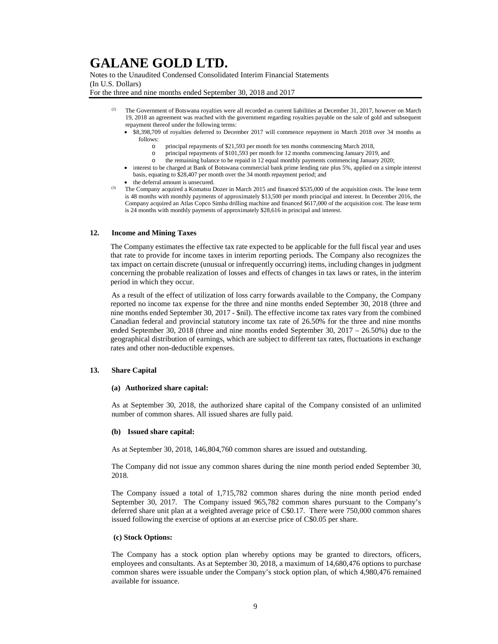Notes to the Unaudited Condensed Consolidated Interim Financial Statements (In U.S. Dollars)

For the three and nine months ended September 30, 2018 and 2017

- The Government of Botswana royalties were all recorded as current liabilities at December 31, 2017, however on March 19, 2018 an agreement was reached with the government regarding royalties payable on the sale of gold and subsequent repayment thereof under the following terms:
	- \$8,398,709 of royalties deferred to December 2017 will commence repayment in March 2018 over 34 months as follows:
		- o principal repayments of \$21,593 per month for ten months commencing March 2018,
		- o principal repayments of \$101,593 per month for 12 months commencing January 2019, and
		- o the remaining balance to be repaid in 12 equal monthly payments commencing January 2020;
	- interest to be charged at Bank of Botswana commercial bank prime lending rate plus 5%, applied on a simple interest basis, equating to \$28,407 per month over the 34 month repayment period; and
	- the deferral amount is unsecured.
- <sup>(3)</sup> The Company acquired a Komatsu Dozer in March 2015 and financed \$535,000 of the acquisition costs. The lease term is 48 months with monthly payments of approximately \$13,500 per month principal and interest. In December 2016, the Company acquired an Atlas Copco Simba drilling machine and financed \$617,000 of the acquisition cost. The lease term is 24 months with monthly payments of approximately \$28,616 in principal and interest.

# **12. Income and Mining Taxes**

The Company estimates the effective tax rate expected to be applicable for the full fiscal year and uses that rate to provide for income taxes in interim reporting periods. The Company also recognizes the tax impact on certain discrete (unusual or infrequently occurring) items, including changes in judgment concerning the probable realization of losses and effects of changes in tax laws or rates, in the interim period in which they occur.

As a result of the effect of utilization of loss carry forwards available to the Company, the Company reported no income tax expense for the three and nine months ended September 30, 2018 (three and nine months ended September 30, 2017 - \$nil). The effective income tax rates vary from the combined Canadian federal and provincial statutory income tax rate of 26.50% for the three and nine months ended September 30, 2018 (three and nine months ended September 30, 2017 – 26.50%) due to the geographical distribution of earnings, which are subject to different tax rates, fluctuations in exchange rates and other non-deductible expenses.

#### **13. Share Capital**

#### **(a) Authorized share capital:**

As at September 30, 2018, the authorized share capital of the Company consisted of an unlimited number of common shares. All issued shares are fully paid.

#### **(b) Issued share capital:**

As at September 30, 2018, 146,804,760 common shares are issued and outstanding.

The Company did not issue any common shares during the nine month period ended September 30, 2018.

The Company issued a total of 1,715,782 common shares during the nine month period ended September 30, 2017. The Company issued 965,782 common shares pursuant to the Company's deferred share unit plan at a weighted average price of C\$0.17. There were 750,000 common shares issued following the exercise of options at an exercise price of C\$0.05 per share.

#### **(c) Stock Options:**

The Company has a stock option plan whereby options may be granted to directors, officers, employees and consultants. As at September 30, 2018, a maximum of 14,680,476 options to purchase common shares were issuable under the Company's stock option plan, of which 4,980,476 remained available for issuance.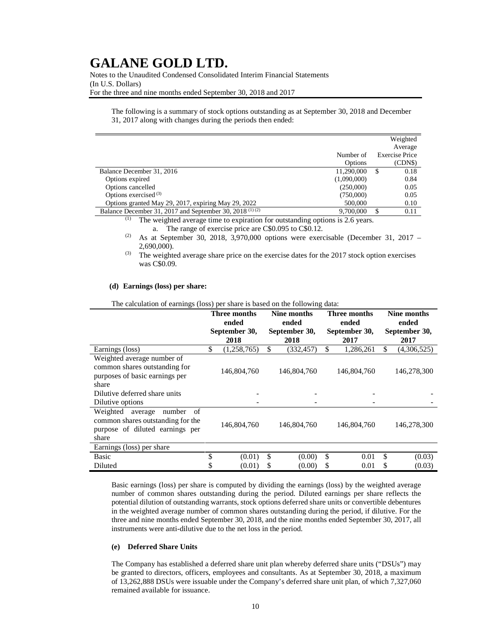Notes to the Unaudited Condensed Consolidated Interim Financial Statements (In U.S. Dollars) For the three and nine months ended September 30, 2018 and 2017

The following is a summary of stock options outstanding as at September 30, 2018 and December 31, 2017 along with changes during the periods then ended:

|                                                           |                | Weighted       |
|-----------------------------------------------------------|----------------|----------------|
|                                                           |                | Average        |
|                                                           | Number of      | Exercise Price |
|                                                           | <b>Options</b> | (CDN\$)        |
| Balance December 31, 2016                                 | 11,290,000     | 0.18<br>-S     |
| Options expired                                           | (1,090,000)    | 0.84           |
| Options cancelled                                         | (250,000)      | 0.05           |
| Options exercised <sup>(3)</sup>                          | (750,000)      | 0.05           |
| Options granted May 29, 2017, expiring May 29, 2022       | 500,000        | 0.10           |
| Balance December 31, 2017 and September 30, 2018 $(1)(2)$ | 9.700,000      | 0.11           |

(1) The weighted average time to expiration for outstanding options is 2.6 years.

a. The range of exercise price are C\$0.095 to C\$0.12.

(2) As at September 30, 2018,  $3,970,000$  options were exercisable (December 31, 2017 – 2,690,000).

 $^{(3)}$  The weighted average share price on the exercise dates for the 2017 stock option exercises was C\$0.09.

#### **(d) Earnings (loss) per share:**

The calculation of earnings (loss) per share is based on the following data:

|                                                                                                                      | Three months<br>ended<br>September 30, |             | Nine months<br>ended<br>September 30, |             | Three months<br>ended<br>September 30, |             | Nine months<br>ended<br>September 30, |             |
|----------------------------------------------------------------------------------------------------------------------|----------------------------------------|-------------|---------------------------------------|-------------|----------------------------------------|-------------|---------------------------------------|-------------|
|                                                                                                                      |                                        | 2018        | 2018                                  |             | 2017                                   |             | 2017                                  |             |
| Earnings (loss)                                                                                                      | \$                                     | (1,258,765) | \$                                    | (332, 457)  | \$                                     | 1,286,261   | \$                                    | (4,306,525) |
| Weighted average number of<br>common shares outstanding for<br>purposes of basic earnings per<br>share               |                                        | 146,804,760 |                                       | 146,804,760 |                                        | 146,804,760 |                                       | 146,278,300 |
| Dilutive deferred share units<br>Dilutive options                                                                    |                                        |             |                                       |             |                                        |             |                                       |             |
| Weighted<br>number<br>average<br>of<br>common shares outstanding for the<br>purpose of diluted earnings per<br>share |                                        | 146,804,760 |                                       | 146,804,760 |                                        | 146,804,760 |                                       | 146,278,300 |
| Earnings (loss) per share                                                                                            |                                        |             |                                       |             |                                        |             |                                       |             |
| <b>Basic</b>                                                                                                         | \$                                     | (0.01)      | \$                                    | (0.00)      | \$                                     | 0.01        | \$                                    | (0.03)      |
| Diluted                                                                                                              | S                                      | (0.01)      | \$                                    | (0.00)      | S                                      | 0.01        | \$                                    | (0.03)      |

Basic earnings (loss) per share is computed by dividing the earnings (loss) by the weighted average number of common shares outstanding during the period. Diluted earnings per share reflects the potential dilution of outstanding warrants, stock options deferred share units or convertible debentures in the weighted average number of common shares outstanding during the period, if dilutive. For the three and nine months ended September 30, 2018, and the nine months ended September 30, 2017, all instruments were anti-dilutive due to the net loss in the period.

## **(e) Deferred Share Units**

The Company has established a deferred share unit plan whereby deferred share units ("DSUs") may be granted to directors, officers, employees and consultants. As at September 30, 2018, a maximum of 13,262,888 DSUs were issuable under the Company's deferred share unit plan, of which 7,327,060 remained available for issuance.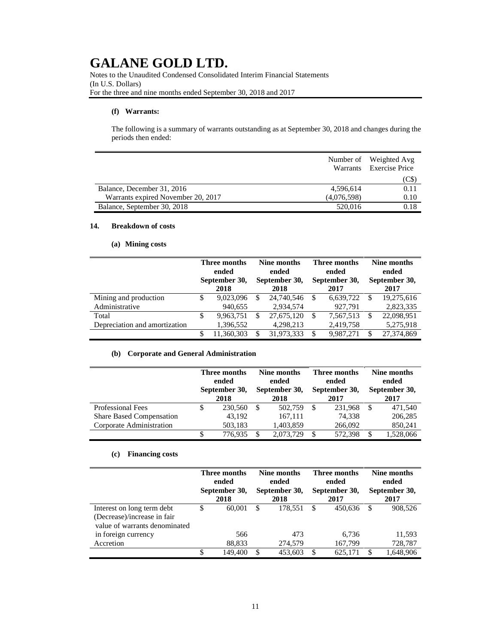Notes to the Unaudited Condensed Consolidated Interim Financial Statements (In U.S. Dollars) For the three and nine months ended September 30, 2018 and 2017

#### **(f) Warrants:**

The following is a summary of warrants outstanding as at September 30, 2018 and changes during the periods then ended:

|                                    |             | Number of Weighted Avg<br>Warrants Exercise Price |
|------------------------------------|-------------|---------------------------------------------------|
|                                    |             | (C\$)                                             |
| Balance, December 31, 2016         | 4,596,614   | 0.11                                              |
| Warrants expired November 20, 2017 | (4,076,598) | 0.10                                              |
| Balance, September 30, 2018        | 520,016     | 0.18                                              |

# **14. Breakdown of costs**

### **(a) Mining costs**

|                               |   | Three months<br>ended<br>September 30,<br>2018 |    | Nine months<br>ended<br>September 30,<br>2018 |    | Three months<br>ended<br>September 30,<br>2017 |   | Nine months<br>ended<br>September 30,<br>2017 |  |
|-------------------------------|---|------------------------------------------------|----|-----------------------------------------------|----|------------------------------------------------|---|-----------------------------------------------|--|
| Mining and production         |   | 9,023,096                                      | \$ | 24,740,546                                    | S  | 6,639,722                                      | S | 19,275,616                                    |  |
| Administrative                |   | 940,655                                        |    | 2,934,574                                     |    | 927,791                                        |   | 2,823,335                                     |  |
| Total                         | S | 9,963,751                                      | \$ | 27,675,120                                    | S  | 7,567,513                                      |   | 22,098,951                                    |  |
| Depreciation and amortization |   | 1,396,552                                      |    | 4,298,213                                     |    | 2,419,758                                      |   | 5,275,918                                     |  |
|                               |   | 11.360.303                                     | S  | 31,973,333                                    | S. | 9.987.271                                      |   | 27,374,869                                    |  |

# **(b) Corporate and General Administration**

|                                 | Three months<br>ended<br>September 30,<br>2018 |    | Nine months<br>ended<br>September 30,<br>2018 |   | Three months<br>ended<br>September 30,<br>2017 |   | Nine months<br>ended<br>September 30,<br>2017 |  |
|---------------------------------|------------------------------------------------|----|-----------------------------------------------|---|------------------------------------------------|---|-----------------------------------------------|--|
| <b>Professional Fees</b>        | 230,560                                        | -S | 502,759                                       | S | 231.968                                        | S | 471,540                                       |  |
| <b>Share Based Compensation</b> | 43.192                                         |    | 167,111                                       |   | 74.338                                         |   | 206,285                                       |  |
| Corporate Administration        | 503,183                                        |    | 1,403,859                                     |   | 266,092                                        |   | 850,241                                       |  |
|                                 | 776.935                                        |    | 2,073,729                                     | S | 572.398                                        |   | 1,528,066                                     |  |

### **(c) Financing costs**

|                                                                                            | Three months<br>ended<br>September 30,<br>2018 |         | Nine months<br>ended<br>September 30,<br>2018 |         | Three months<br>ended<br>September 30,<br>2017 |         | Nine months<br>ended<br>September 30,<br>2017 |           |
|--------------------------------------------------------------------------------------------|------------------------------------------------|---------|-----------------------------------------------|---------|------------------------------------------------|---------|-----------------------------------------------|-----------|
| Interest on long term debt<br>(Decrease)/increase in fair<br>value of warrants denominated | \$                                             | 60.001  | -S                                            | 178.551 | S                                              | 450.636 |                                               | 908.526   |
| in foreign currency                                                                        |                                                | 566     |                                               | 473     |                                                | 6.736   |                                               | 11,593    |
| Accretion                                                                                  |                                                | 88,833  |                                               | 274,579 |                                                | 167,799 |                                               | 728,787   |
|                                                                                            | S                                              | 149.400 | S                                             | 453.603 | S.                                             | 625,171 |                                               | 1,648,906 |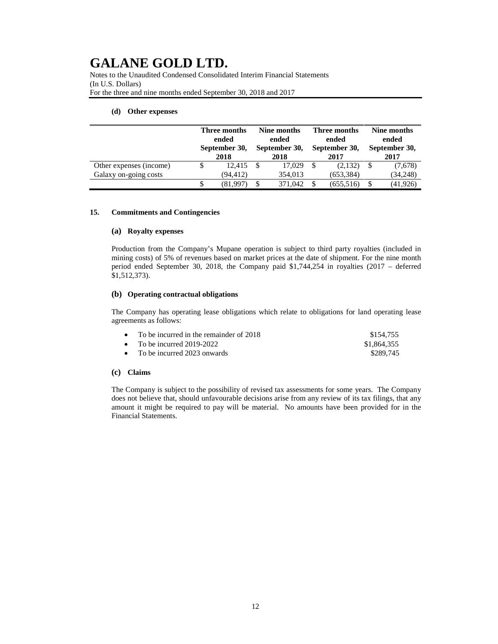Notes to the Unaudited Condensed Consolidated Interim Financial Statements (In U.S. Dollars) For the three and nine months ended September 30, 2018 and 2017

#### **(d) Other expenses**

|                         | Three months<br>ended<br>September 30,<br>2018 |    | Nine months<br>ended<br>September 30,<br>2018 |    | Three months<br>ended<br>September 30,<br>2017 |  | Nine months<br>ended<br>September 30,<br>2017 |  |
|-------------------------|------------------------------------------------|----|-----------------------------------------------|----|------------------------------------------------|--|-----------------------------------------------|--|
| Other expenses (income) | 12.415                                         | -8 | 17.029                                        | -S | (2,132)                                        |  | (7,678)                                       |  |
| Galaxy on-going costs   | (94, 412)                                      |    | 354,013                                       |    | (653,384)                                      |  | (34,248)                                      |  |
|                         | (81,997)                                       |    | 371,042                                       |    | (655, 516)                                     |  | (41, 926)                                     |  |

#### **15. Commitments and Contingencies**

#### **(a) Royalty expenses**

Production from the Company's Mupane operation is subject to third party royalties (included in mining costs) of 5% of revenues based on market prices at the date of shipment. For the nine month period ended September 30, 2018, the Company paid \$1,744,254 in royalties (2017 – deferred \$1,512,373).

#### **(b) Operating contractual obligations**

The Company has operating lease obligations which relate to obligations for land operating lease agreements as follows:

| • To be incurred in the remainder of $2018$ | \$154.755   |
|---------------------------------------------|-------------|
| • To be incurred $2019-2022$                | \$1,864,355 |
| • To be incurred 2023 onwards               | \$289.745   |

# **(c) Claims**

The Company is subject to the possibility of revised tax assessments for some years. The Company does not believe that, should unfavourable decisions arise from any review of its tax filings, that any amount it might be required to pay will be material. No amounts have been provided for in the Financial Statements.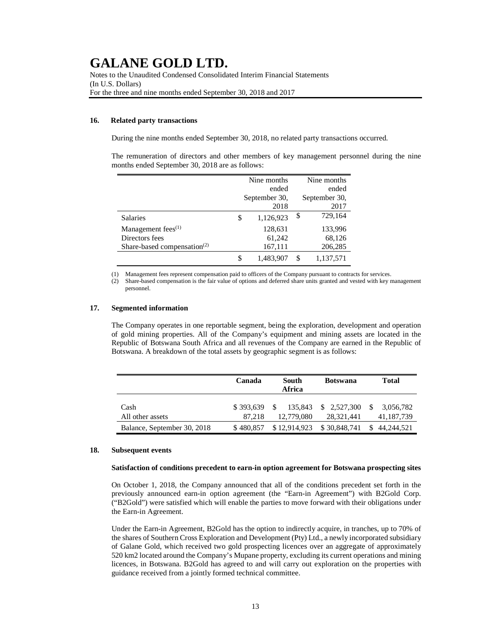Notes to the Unaudited Condensed Consolidated Interim Financial Statements (In U.S. Dollars) For the three and nine months ended September 30, 2018 and 2017

## **16. Related party transactions**

During the nine months ended September 30, 2018, no related party transactions occurred.

The remuneration of directors and other members of key management personnel during the nine months ended September 30, 2018 are as follows:

|                                                      | Nine months     | Nine months     |
|------------------------------------------------------|-----------------|-----------------|
|                                                      | ended           | ended           |
|                                                      | September 30,   | September 30,   |
|                                                      | 2018            | 2017            |
| <b>Salaries</b>                                      | \$<br>1,126,923 | \$<br>729,164   |
| Management fees <sup>(1)</sup>                       | 128,631         | 133,996         |
| Directors fees                                       | 61,242          | 68,126          |
| Share-based compensation <sup><math>(2)</math></sup> | 167,111         | 206,285         |
|                                                      | \$<br>1,483,907 | \$<br>1,137,571 |

(1) Management fees represent compensation paid to officers of the Company pursuant to contracts for services.

(2) Share-based compensation is the fair value of options and deferred share units granted and vested with key management personnel.

## **17. Segmented information**

The Company operates in one reportable segment, being the exploration, development and operation of gold mining properties. All of the Company's equipment and mining assets are located in the Republic of Botswana South Africa and all revenues of the Company are earned in the Republic of Botswana. A breakdown of the total assets by geographic segment is as follows:

|                             | Canada              | South<br>Africa              | <b>Botswana</b>           | <b>Total</b>                             |
|-----------------------------|---------------------|------------------------------|---------------------------|------------------------------------------|
| Cash<br>All other assets    | \$393.639<br>87.218 | 135,843<br>\$.<br>12,779,080 | \$2,527,300<br>28.321.441 | <sup>\$</sup><br>3,056,782<br>41,187,739 |
| Balance, September 30, 2018 | \$480,857           | \$12,914,923                 | \$30,848,741              | \$44,244,521                             |

#### **18. Subsequent events**

#### **Satisfaction of conditions precedent to earn-in option agreement for Botswana prospecting sites**

On October 1, 2018, the Company announced that all of the conditions precedent set forth in the previously announced earn-in option agreement (the "Earn-in Agreement") with B2Gold Corp. ("B2Gold") were satisfied which will enable the parties to move forward with their obligations under the Earn-in Agreement.

Under the Earn-in Agreement, B2Gold has the option to indirectly acquire, in tranches, up to 70% of the shares of Southern Cross Exploration and Development (Pty) Ltd., a newly incorporated subsidiary of Galane Gold, which received two gold prospecting licences over an aggregate of approximately 520 km2 located around the Company's Mupane property, excluding its current operations and mining licences, in Botswana. B2Gold has agreed to and will carry out exploration on the properties with guidance received from a jointly formed technical committee.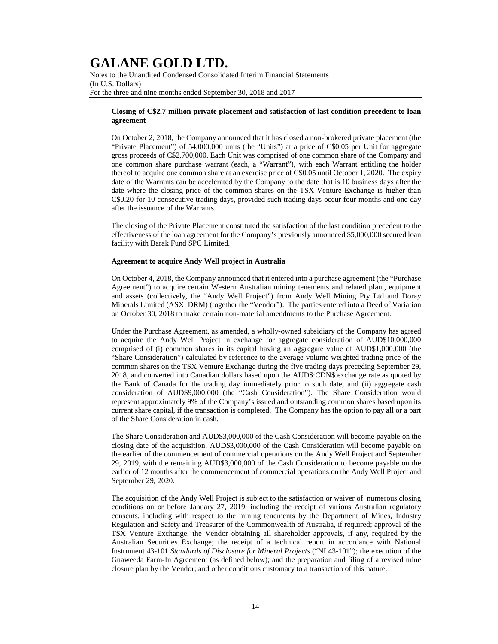Notes to the Unaudited Condensed Consolidated Interim Financial Statements (In U.S. Dollars) For the three and nine months ended September 30, 2018 and 2017

### **Closing of C\$2.7 million private placement and satisfaction of last condition precedent to loan agreement**

On October 2, 2018, the Company announced that it has closed a non-brokered private placement (the "Private Placement") of 54,000,000 units (the "Units") at a price of C\$0.05 per Unit for aggregate gross proceeds of C\$2,700,000. Each Unit was comprised of one common share of the Company and one common share purchase warrant (each, a "Warrant"), with each Warrant entitling the holder thereof to acquire one common share at an exercise price of C\$0.05 until October 1, 2020. The expiry date of the Warrants can be accelerated by the Company to the date that is 10 business days after the date where the closing price of the common shares on the TSX Venture Exchange is higher than C\$0.20 for 10 consecutive trading days, provided such trading days occur four months and one day after the issuance of the Warrants.

The closing of the Private Placement constituted the satisfaction of the last condition precedent to the effectiveness of the loan agreement for the Company's previously announced \$5,000,000 secured loan facility with Barak Fund SPC Limited.

#### **Agreement to acquire Andy Well project in Australia**

On October 4, 2018, the Company announced that it entered into a purchase agreement (the "Purchase Agreement") to acquire certain Western Australian mining tenements and related plant, equipment and assets (collectively, the "Andy Well Project") from Andy Well Mining Pty Ltd and Doray Minerals Limited (ASX: DRM) (together the "Vendor"). The parties entered into a Deed of Variation on October 30, 2018 to make certain non-material amendments to the Purchase Agreement.

Under the Purchase Agreement, as amended, a wholly-owned subsidiary of the Company has agreed to acquire the Andy Well Project in exchange for aggregate consideration of AUD\$10,000,000 comprised of (i) common shares in its capital having an aggregate value of AUD\$1,000,000 (the "Share Consideration") calculated by reference to the average volume weighted trading price of the common shares on the TSX Venture Exchange during the five trading days preceding September 29, 2018, and converted into Canadian dollars based upon the AUD\$:CDN\$ exchange rate as quoted by the Bank of Canada for the trading day immediately prior to such date; and (ii) aggregate cash consideration of AUD\$9,000,000 (the "Cash Consideration"). The Share Consideration would represent approximately 9% of the Company's issued and outstanding common shares based upon its current share capital, if the transaction is completed. The Company has the option to pay all or a part of the Share Consideration in cash.

The Share Consideration and AUD\$3,000,000 of the Cash Consideration will become payable on the closing date of the acquisition. AUD\$3,000,000 of the Cash Consideration will become payable on the earlier of the commencement of commercial operations on the Andy Well Project and September 29, 2019, with the remaining AUD\$3,000,000 of the Cash Consideration to become payable on the earlier of 12 months after the commencement of commercial operations on the Andy Well Project and September 29, 2020.

The acquisition of the Andy Well Project is subject to the satisfaction or waiver of numerous closing conditions on or before January 27, 2019, including the receipt of various Australian regulatory consents, including with respect to the mining tenements by the Department of Mines, Industry Regulation and Safety and Treasurer of the Commonwealth of Australia, if required; approval of the TSX Venture Exchange; the Vendor obtaining all shareholder approvals, if any, required by the Australian Securities Exchange; the receipt of a technical report in accordance with National Instrument 43-101 *Standards of Disclosure for Mineral Projects* ("NI 43-101"); the execution of the Gnaweeda Farm-In Agreement (as defined below); and the preparation and filing of a revised mine closure plan by the Vendor; and other conditions customary to a transaction of this nature.